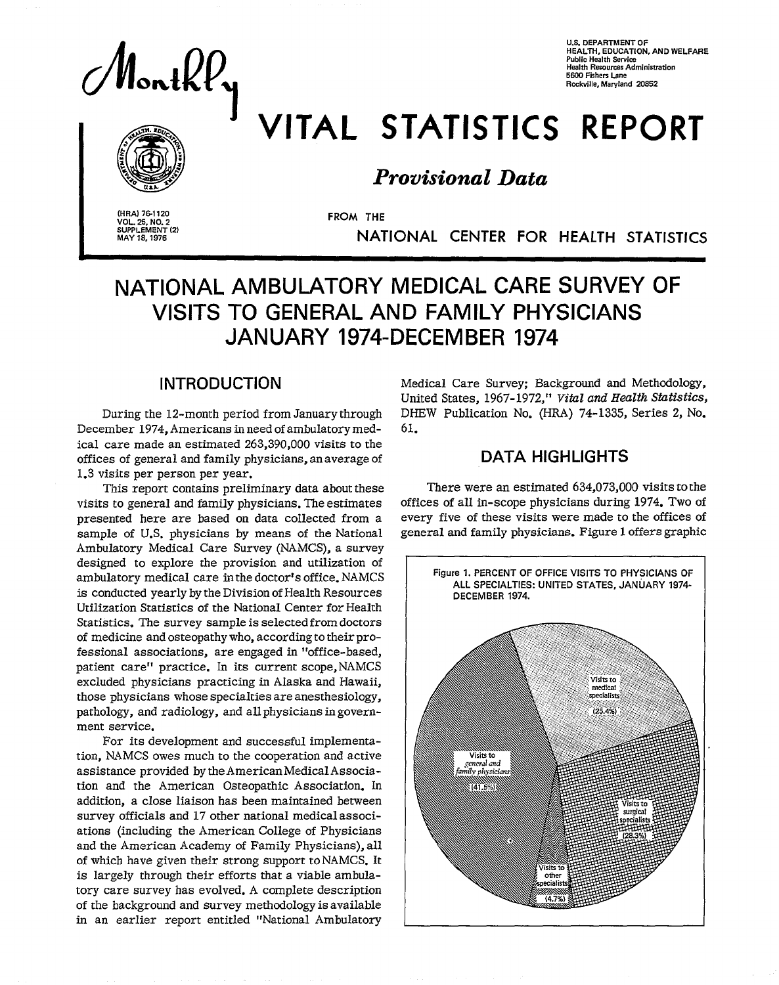$|$ ont $\ell\ell_{\mathsf{y}}$ 

**U.S. DEPARTMENT OF HEALTH, EDUCATION, AND WELFARE**  Public Health Service<br>Health Resources Administration **5600 Fishers Lane Rc.ckville, Maryland 20852** 



# VITAL STATISTICS REPORT

### *Provisional Data*

(HRA) 76-1120 **VOL. 25, NO. 2** SUPPLEMENT (2) MAY 18, 1976

FROM THE NATIONAL CENTER FOR HEALTH STATISTICS

## **NATIONAL AMBULATORY MEDICAL CARE SURVEY OF VISITS TO GENERAL AND FAMILY PHYSICIANS JANUARY 1974-DECEMBER 1974**

#### **INTRODUCTION**

During the 12-month period from January through December 1974, Americans in need of ambulatory medical care made an estimated 263,390,000 visits to the offices of general and family physicians, an average of � 1.3 visits per person per year.

This report contains preliminary data about these visits to generaI and family physicians. The estimates presented here are based on data collected from a sample of U.S. physicians by means of the National Ambulatory Medical Care Survey (NAMCS), a survey designed to explore the provision and utilization of ambulatory medical care in the doctor's office. NAMCS is conducted yearly by the Division of Health Resources Utilization Statistics of the National Center for Health Statistics. The survey sample is selected from doctors of medicine and osteopathy who, according to their professional associations, are engaged in "office-based, patient care" practice. In its current scope, NAMCS excluded physicians practicing in Alaska and Hawaii, those physicians whose specialties are anesthesiology, pathology, and radiology, and all physicians in government service.

For its development and successful implementation, N.4MCS owes much to the cooperation and active assistance provided by the American Medical Association and the American Osteopathic Association. In addition, a close liaison has been maintained between survey officials and 17 other national medical associations (including the American College of Physicians and the American Academy of Family Physicians), all of which have given their strong support to NAMCS. It is largely through their efforts that a viable ambulatory care survey has evolved. A complete description of the background and survey methodology is available in an earlier report entitled "National Ambulatory Medical Care Survey; Background and Methodology, United States, 1967 -1972," *Viikzland Health* Statistics, DHEW Publication No. (HRA) 74-1335, Series 2, No. 61.

#### **DATA HIGHLIGHTS**

There were an estimated 634,073,000 visits to the offices of all in-scope physicians during 1974. Two of every five of these visits were made to the offices of general and family physicians. Figure 1 offers graphic

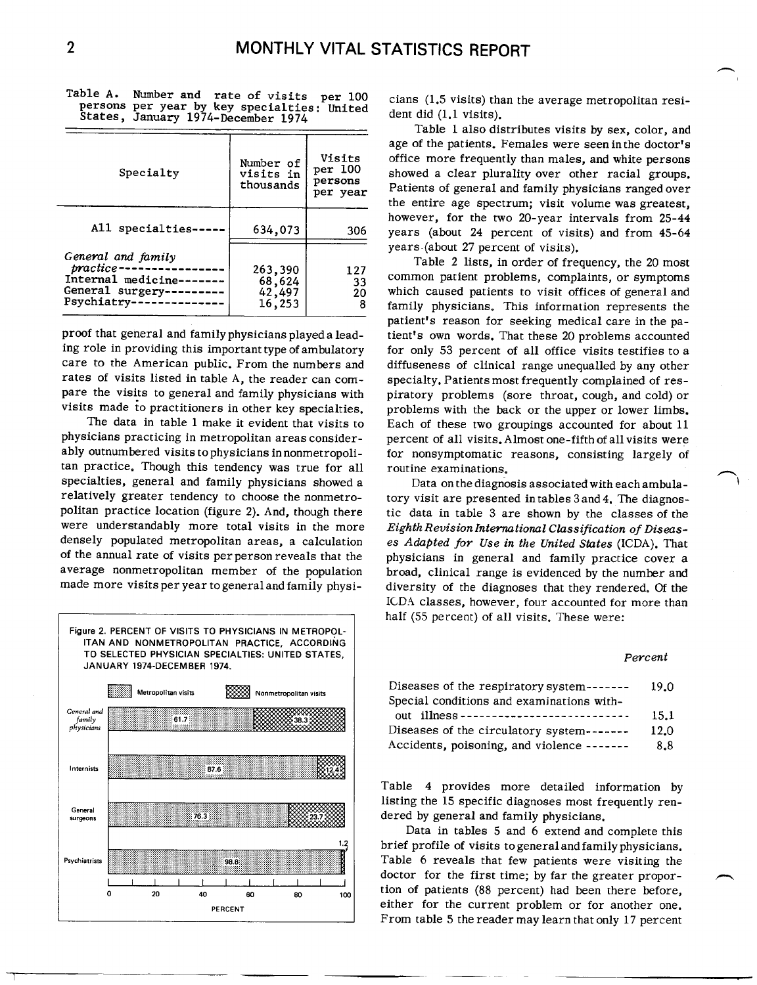| Specialty                                                                                    | Number of<br>visits in<br>thousands   | Visits<br>per 100<br>persons<br>per year |
|----------------------------------------------------------------------------------------------|---------------------------------------|------------------------------------------|
| All specialties-                                                                             | 634,073                               | 306                                      |
| General and family<br>practice-<br>Internal medicine---<br>General surgery---<br>Psychiatry- | 263,390<br>68,624<br>42,497<br>16,253 | 127<br>33<br>20<br>8                     |

Table A. Number and rate of visits per 100 cians (1.5 visits) than the average metropolitan resi-<br>persons per year by key specialties: United persons per year by and generalizes: united dent did (1,1 visits).

rates of visits listed in table A, the reader can com-<br>pare the visits to general and family physicians with piratory problems (sore throat, cough, and cold) or

The data in table 1 make it evident that visits to Each of these two groupings accounted for about 11<br>physicians practicing in metropolitan areas consider-<br>percent of all visits. Almost one-fifth of all visits were tan practice. Though this tendency was true for all routine examinations.<br>specialties, general and family physicians showed a Data on the diagno specialties, general and family physicians showed a Data on the diagnosis associated with each ambula-<br>relatively greater tendency to choose the nonmetro- tory visit are presented intables 3 and 4. The diagnospolitan practice location (figure 2). And, though there tic data in table 3 are shown by the classes of the were<br>were understandably more total visits in the more Eighth Revision International Classification of Diseaswere understandably more total visits in the more *Eighth Revision International Classification of Diseas*densely populated metropolitan areas, a calculation *es Adapted for Use in the United States* (ICDA). That<br>of the annual rate of visits perperson reveals that the physicians in general and family practice cover a of the annual rate of visits perperson reveals that the physicians in general and family practice cover a<br>average nonmetropolitan member of the population broad, clinical range is evidenced by the number and



**I** 

n

Table l also distributes visits by sex, color, and age of the patients. Females were seen in the doctor' Visits office more frequently than males, and white person showed a clear plurality over other racial groups. Patients of general and family physicians ranged over the entire age spectrum; visit volume was greatest, however, for the two 20-year intervals from 25-44 years (about 24 percent of visits) and from  $45-64$ years (about 27 percent of visits).

Table 2 lists, in order of frequency, the 20 most common patient problems, complaints, or symptoms which caused patients to visit offices of general and family physicians. This information represents the patient's reason for seeking medical care in the paproof that general and family physicians played a lead-<br>ing role in providing this important type of ambulatory for only 53 percent of all office visits testifies to a for only 53 percent of all office visits testifies to a care to the American public. From the numbers and diffuseness of clinical range unequaled by any other piratory problems (sore throat, cough, and cold) or visits made to practitioners in other key specialties. problems with the back or the upper or lower limbs.<br>The data in table 1 make it evident that visits to Each of these two grounings accounted for about 11 physicians practicing in metropolitan areasconsider- percent of all visits. Almost one-fifth of all visits were for nonsymptomatic reasons, consisting largely of

relatively greater tendency to choose the nonmetro- tory visit are presented intables 3 and 4. The diagnos-<br>politan practice location (figure 2), And, though there the data in table 3 are shown by the classes of the broad, clinical range is evidenced by the number and made more visitsperyear togeneralandfamily physi- diversity of the diagnoses that they rendered. Of the ICDA classes, however, four accounted for more than half (55 percent) of all visits. These were:

n

| Diseases of the respiratory system-------  | 19.0 |
|--------------------------------------------|------|
| Special conditions and examinations with-  |      |
| out illness -----------------------------  | 15.1 |
| Diseases of the circulatory system-------  | 12.0 |
| Accidents, poisoning, and violence ------- | 8.8  |

Table 4 provides more detailed information by listing the 15 specific diagnoses most frequently ren **w rg30ns** dered by general and family physicians.

Data in tables 5 and 6 extend and complete this brief profile of visits to general and family physicians. doctor for the first time; by far the greater proportion of patients (88 percent) had been there before, PERCENT **PERCENT PERCENT PERCENT PERCENT PERCENT PERCENT PERCENT PERCENT** From table 5 the reader may learn that only 17 percent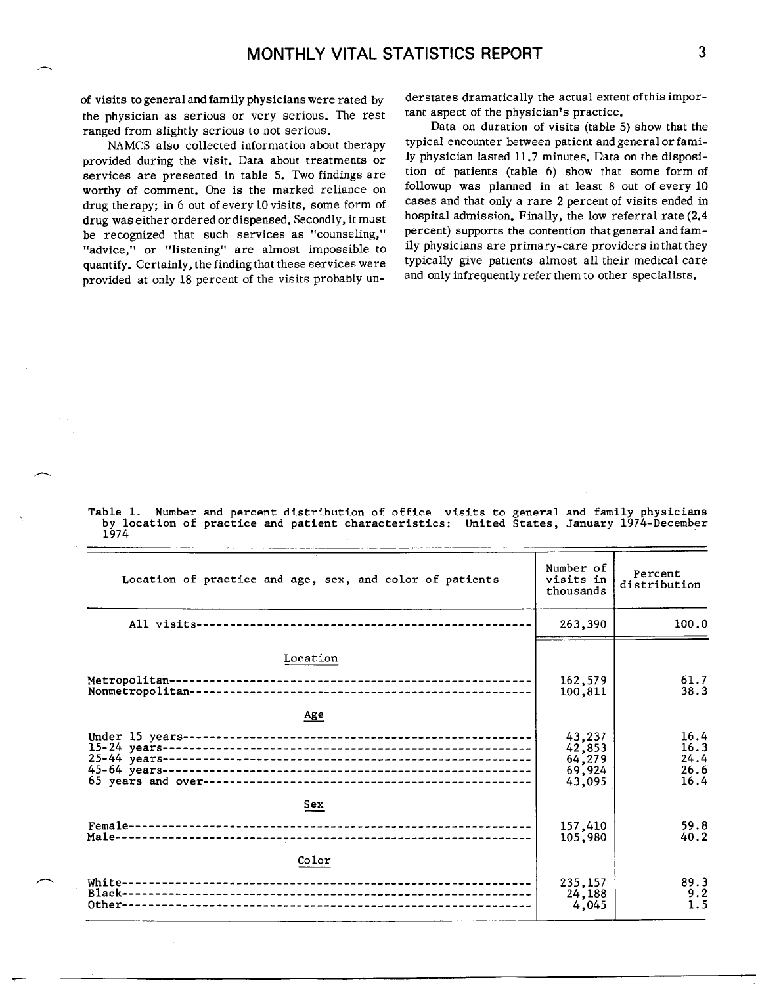of visits togeneraland family physicians were rated by the physician as serious or very serious. The rest ranged from slightly serious to not serious.

NAMCS also collected information about therapy provided during the visit. Data about treatments or services are presented in table 5. Two findings are worthy of comment. One is the marked reliance on drug therapy; in 6 out of every 10 visits, some form of drug was either ordered or dispensed. Secondly, it must be recognized that such services as "counseling," "advice," or "listening" are almost impossible to quantify. Certainly, the finding that these services were provided at only 18 percent of the visits probably un-

n

derstates dramatically the actual extent of this important aspect of the physician's practice.

Data on duration of visits (table 5) show that the typical encounter between patient and general or family physician lasted 11.7 minutes. Data on the disposition of patients (table 6) show that some form of followup was planned in at least 8 out of every 10 cases and that only a rare 2 percent of visits ended in hospital admission. Finally, the low referral rate (2.4 percent) supports the contention that general and family physicians are primary-care providers in that they typically give patients almost all their medical care and only infrequently refer them to other specialists.

Table 1. Number and percent distribution of office visits to general and family physicians<br>by location of practice and patient characteristics: United States, January 1974-December<br>1974

| Location of practice and age, sex, and color of patients | Number of<br>visits in<br>thousands            | Percent<br>distribution              |
|----------------------------------------------------------|------------------------------------------------|--------------------------------------|
|                                                          | 263,390                                        | 100.0                                |
| Location                                                 |                                                |                                      |
|                                                          | 162,579<br>100,811                             | 61.7<br>38.3                         |
| Age                                                      |                                                |                                      |
|                                                          | 43,237<br>42,853<br>64,279<br>69,924<br>43,095 | 16.4<br>16.3<br>24.4<br>26.6<br>16.4 |
| Sex                                                      |                                                |                                      |
|                                                          | 157,410<br>105,980                             | 59.8<br>40.2                         |
| Color                                                    |                                                |                                      |
|                                                          | 235,157<br>24,188<br>4,045                     | 89.3<br>9.2<br>1.5                   |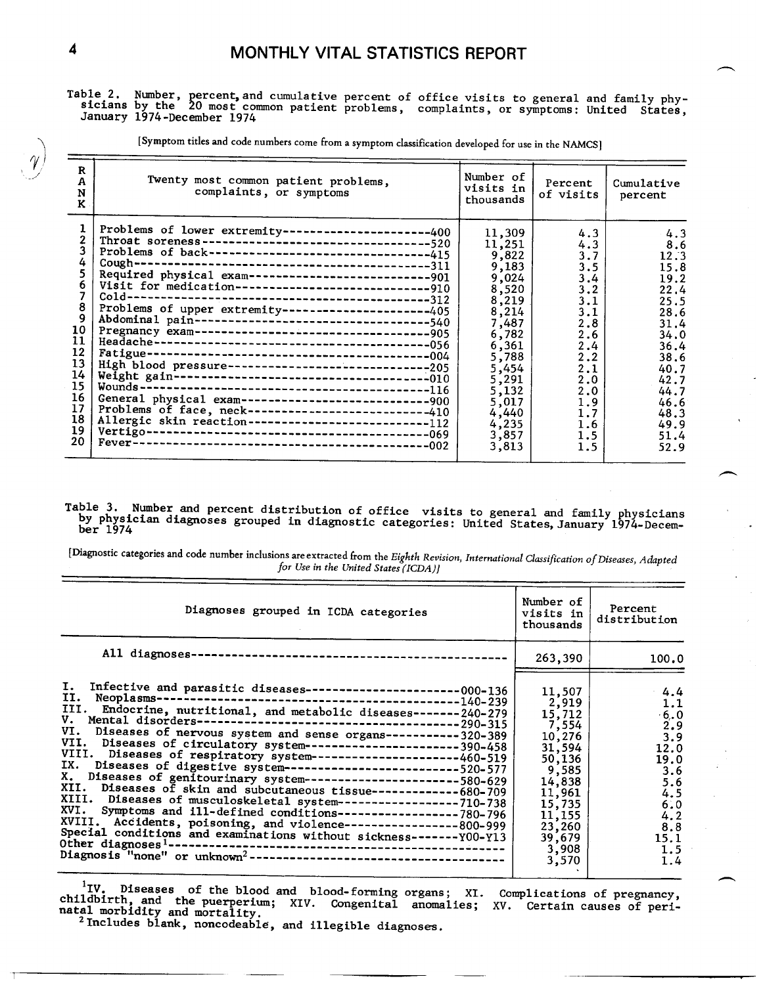Table 2. Number, percent, and cumulative percent of office visits to general and family phy-<br>sicians by the 20 most common patient problems, complaints, or symptoms: United States, January 1974-December 1974

[Symptom titles and code numbers come from a symptom classification developed for use in the NAMCS]

| R<br>A<br>$\mathbf N$<br>K.                                                   | Twenty most common patient problems,<br>complaints, or symptoms                                                                                                                                                                                                                                                                                                                                                                                                                                                                                                                | Number of<br>visits in<br>thousands                                                                                                                                                | Percent<br>of visits                                                                                                                     | Cumulative<br>percent                                                                                                                                      |
|-------------------------------------------------------------------------------|--------------------------------------------------------------------------------------------------------------------------------------------------------------------------------------------------------------------------------------------------------------------------------------------------------------------------------------------------------------------------------------------------------------------------------------------------------------------------------------------------------------------------------------------------------------------------------|------------------------------------------------------------------------------------------------------------------------------------------------------------------------------------|------------------------------------------------------------------------------------------------------------------------------------------|------------------------------------------------------------------------------------------------------------------------------------------------------------|
| 4<br>8<br>9<br>10<br>11<br>12<br>13<br>14<br>15<br>16<br>17<br>18<br>19<br>20 | Problems of lower extremity----------------------400<br>Problems of back--------------------------------415<br>Required physical exam-------------------------------901<br>Visit for medication-----------------------------910<br>Problems of upper extremity---------------------405<br>Abdominal pain----------------------------------540<br>High blood pressure-------------------------------205<br>General physical exam-----------------------------900<br>Problems of face, neck--------------------------410<br>Allergic skin reaction---------------------------112 | 11,309<br>11,251<br>9,822<br>9,183<br>9,024<br>8,520<br>8,219<br>8,214<br>7,487<br>6,782<br>6,361<br>5,788<br>5,454<br>5,291<br>5,132<br>5,017<br>4,440<br>4,235<br>3,857<br>3,813 | 4.3<br>4.3<br>3.7<br>3.5<br>3.4<br>3.2<br>3.1<br>3.1<br>2.8<br>2.6<br>2.4<br>2.2<br>2.1<br>2.0<br>2.0<br>1.9<br>1.7<br>1.6<br>1.5<br>1.5 | 4.3<br>8.6<br>12.3<br>15.8<br>19.2<br>22.4<br>25.5<br>28.6<br>31.4<br>34.0<br>36.4<br>38.6<br>40.7<br>42.7<br>44.7<br>46.6<br>48.3<br>49.9<br>51.4<br>52.9 |

#### Table 3. Number and percent distribution of office visits to general and family physicians<br>by physician diagnoses grouped in diagnostic categories: United States, January 1974-December 1974

[Diagnostic categories and code number inclusions are extracted from the Eighth Revision, International Classification of Diseases, Adapted for Use in the United States (ICDA)]

| Diagnoses grouped in ICDA categories                                                                                                                                                                                                                                                                                                                                                                                                                                                                                                                                                                                                                                                                                                                                                                                                                        | Number of<br>visits in<br>thousands                                                                                                                      | Percent<br>distribution                                                                                                |
|-------------------------------------------------------------------------------------------------------------------------------------------------------------------------------------------------------------------------------------------------------------------------------------------------------------------------------------------------------------------------------------------------------------------------------------------------------------------------------------------------------------------------------------------------------------------------------------------------------------------------------------------------------------------------------------------------------------------------------------------------------------------------------------------------------------------------------------------------------------|----------------------------------------------------------------------------------------------------------------------------------------------------------|------------------------------------------------------------------------------------------------------------------------|
|                                                                                                                                                                                                                                                                                                                                                                                                                                                                                                                                                                                                                                                                                                                                                                                                                                                             | 263,390                                                                                                                                                  | 100.0                                                                                                                  |
| III. Endocrine, nutritional, and metabolic diseases-------240-279<br>V. Mental disorders---------------<br>------------------------290-315<br>VI. Diseases of nervous system and sense organs-----------320-389<br>VII. Diseases of circulatory system-----------------------390-458<br>VIII. Diseases of respiratory system----------------------460-519<br>IX. Diseases of digestive system--------------------------520-577<br>X. Diseases of genitourinary system----------------------580-629<br>XII. Diseases of skin and subcutaneous tissue-------------680-709<br>XIII. Diseases of musculoskeletal system------------------710-738<br>XVI. Symptoms and ill-defined conditions-----------------780-796<br>XVIII. Accidents, poisoning, and violence-----------------800-999<br>Special conditions and examinations without sickness-------Y00-Y13 | 11,507<br>2,919<br>15,712<br>7,554<br>10,276<br>31,594<br>50, 136<br>9,585<br>14,838<br>11,961<br>15,735<br>11,155<br>23,260<br>39,679<br>3,908<br>3,570 | 4.4<br>1.1<br>$\frac{6.0}{2.9}$<br>3.9<br>12.0<br>19.0<br>3.6<br>5.6<br>4.5<br>6.0<br>4.2<br>8.8<br>15.1<br>1.5<br>1.4 |

<sup>1</sup>IV. Diseases of the blood and blood-forming organs; XI. Complications of pregnancy, childbirth, and the puerperium; XIV. Congenital anomalies; XV. Certain causes of peri-<br>natal morbidity and mortality.<br><sup>2</sup> Includes blank, noncodeable, and illegible diagnoses.

4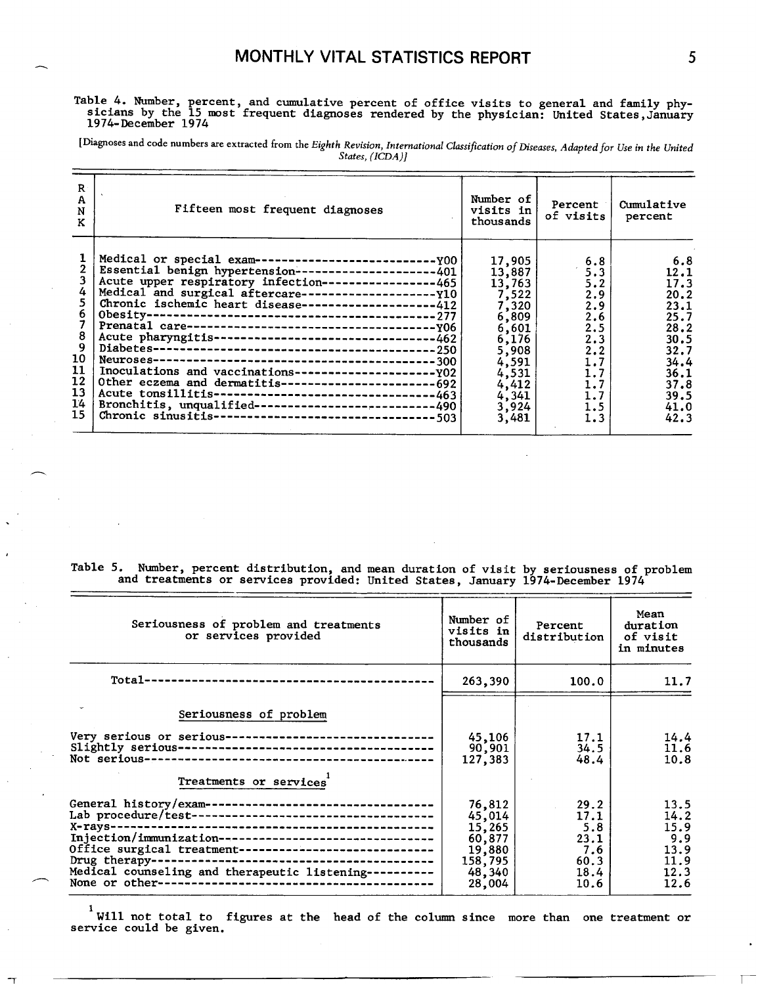#### **Table 4. Number, percent, and cumulative percent of office visits to general and family phy sicians by the 15 most frequent diagnoses rendered by the physician: United States,January 1974-December 1974**

[Diagnoses and code numbers are extracted from the Eighth Revision, International Classification of Diseases, Adanted for Use in the United *States,(ICDA)]* 

| R<br>$\mathbf{A}$<br>N<br>K                                                             | Fifteen most frequent diagnoses                                                                                                                                                                                                                                                                                                                                                                         | Number of<br>visits in<br>thousands                                                                                                    | Percent<br>of visits!                                                                                 | Cumulative<br>percent                                                                                               |
|-----------------------------------------------------------------------------------------|---------------------------------------------------------------------------------------------------------------------------------------------------------------------------------------------------------------------------------------------------------------------------------------------------------------------------------------------------------------------------------------------------------|----------------------------------------------------------------------------------------------------------------------------------------|-------------------------------------------------------------------------------------------------------|---------------------------------------------------------------------------------------------------------------------|
| 6.<br>8<br>$\overline{9}$<br>10<br>11<br>12 <sup>2</sup><br>13<br>14<br>15 <sub>1</sub> | Essential benign hypertension-------------------401<br>Acute upper respiratory infection----------------465<br>Chronic ischemic heart disease-------------------412<br>Acute pharyngitis--------------------------------462<br>Other eczema and dermatitis-------------------------692<br>Bronchitis, unqualified--------------------------490<br>Chronic sinusitis---------------------------------503 | 17,905<br>13,887<br>13,763<br>7.522<br>7,320<br>6,809<br>6,601<br>6,176<br>5,908<br>4,591<br>4,531<br>4,412<br>4,341<br>3,924<br>3,481 | 6.8<br>5.3<br>5.2<br>2.9<br>2.9<br>2.6<br>2.5<br>2.3<br>2.2<br>1.7<br>1.7<br>1.7<br>1.7<br>1.5<br>1.3 | 6.8<br>12.1<br>17.3<br>20.2<br>23.1<br>25.7<br>28.2<br>30.5<br>32.7<br>34.4<br>36.1<br>37.8<br>39.5<br>41.0<br>42.3 |

Table 5. Number, percent distribution, and mean duration of visit by seriousness of problem and treatments or services provided: United States, January 1974-December 1974

| Seriousness of problem and treatments<br>or services provided                                                                                                                                                                          | Number of<br>visits in<br>thousands                                           | Percent<br>distribution                                        | Mean<br>duration<br>of visit<br>in minutes                  |
|----------------------------------------------------------------------------------------------------------------------------------------------------------------------------------------------------------------------------------------|-------------------------------------------------------------------------------|----------------------------------------------------------------|-------------------------------------------------------------|
|                                                                                                                                                                                                                                        | 263,390                                                                       | 100.0                                                          | 11.7                                                        |
| Seriousness of problem<br>Very serious or serious-------------------------------<br>Treatments or services                                                                                                                             | 45,106<br>90,901<br>127,383                                                   | 17.1<br>34.5<br>48.4                                           | 14.4<br>11.6<br>10.8                                        |
| General history/exam-----------------------------------<br>Injection/immunization--------------------------------<br>Office surgical treatment------------------------------<br>Medical counseling and therapeutic listening---------- | 76,812<br>45,014<br>15,265<br>60,877<br>19,880<br>158,795<br>48,340<br>28,004 | 29.2<br>17.1<br>5.8<br>23.1<br>7.6<br>$60.3$  <br>18.4<br>10.6 | 13.5<br>14.2<br>15.9<br>9.9<br>13.9<br>11.9<br>12.3<br>12.6 |

1 **will not total to figures at the head of the column since more than one treatment or service could be given.**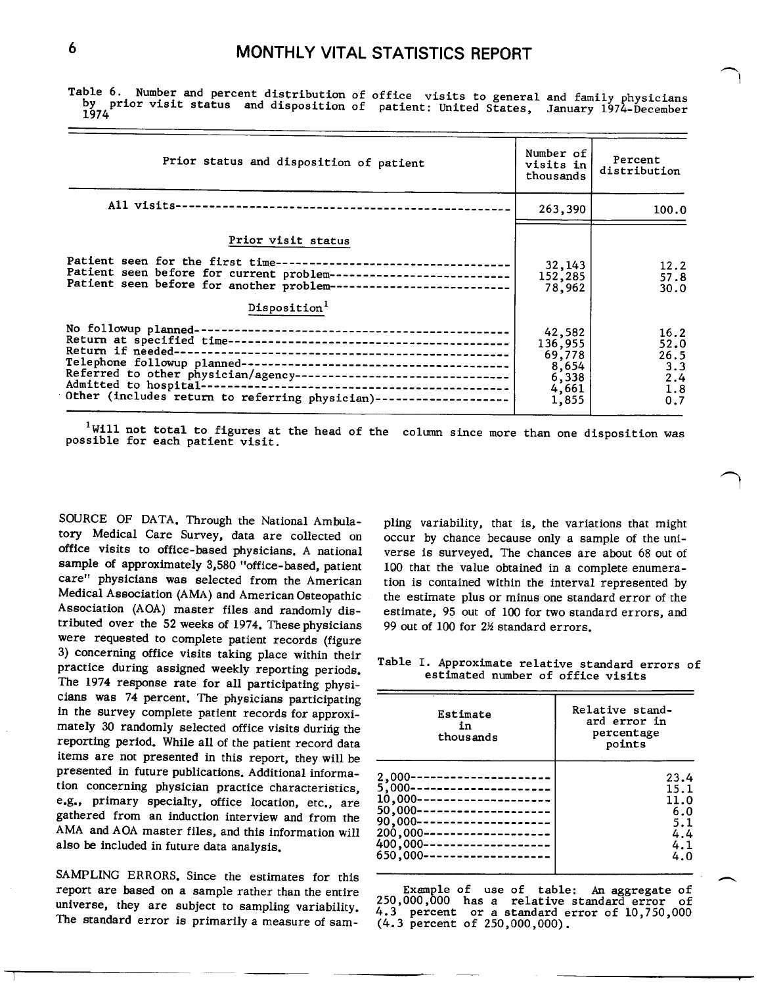**Table 6. Number and percent distribution of office visits to general and family physicians**  prior visit status and disposition of patient: United States, January 1974-December **1974** 

| Prior status and disposition of patient                                                                                                                                                                                                                        | Number of<br>visits in<br>thousands                             | Percent<br>distribution                          |
|----------------------------------------------------------------------------------------------------------------------------------------------------------------------------------------------------------------------------------------------------------------|-----------------------------------------------------------------|--------------------------------------------------|
|                                                                                                                                                                                                                                                                | 263,390                                                         | 100.0                                            |
| Prior visit status<br>Patient seen for the first time-----------------------------------<br>Patient seen before for current problem---------------------------<br>Patient seen before for another problem-------------------------<br>Disposition <sup>1</sup> | 32, 143<br>152,285<br>78,962                                    | 12.2<br>57.8<br>30.0                             |
| Referred to other physician/agency-------------------------------<br>Other (includes return to referring physician)--------------------                                                                                                                        | 42,582<br>136,955<br>69,778<br>8,654<br>6,338<br>4,661<br>1,855 | 16.2<br>52.0<br>26.5<br>3.3<br>2.4<br>1.8<br>0.7 |

**lWill not total to figures at the head of the column since more than one disposition was possible for each patient visit.** 

SOURCE OF DATA. Through the National Ambula- pling variability, that is, the variations that might tory Medical Care Survey, data are collected on occur by chance because only a sample of the uni-<br>office visits to office-based physicians. A national verse is surveyed. The chances are about 68 out of sample of approximately 3,580 "office-based, patient 100 that the value obtained in a complete enumera-<br>care" physicians was selected from the American tion is contained within the interval represented by care" physicians was selected from the American tion is contained within the interval represented by<br>Medical Association (AMA) and American Osteopathic the estimate plus or minus one standard error of the Medical Association (AMA) and American Osteopathic the estimate plus or minus one standard error of the Association (AOA) master files and randomly dis-<br>Association (AOA) master files and randomly dis-<br>estimate, 95 out of tributed over the 52 weeks of 1974. These physicians were requested to complete patient records (figure 3) concerning office visits taking place within their 3) concerning office visits taking place within their Table I. Approximate relative standard errors of practice during assigned weekly reporting periods. estimated number of office visits The 1974 response rate for all participating physicians was 74 percent. The physicians participating mately 30 randomly selected office visits during the reporting period. While all of the patient record data items are not presented in this report, they will be presented in future publications. Additional information concerning physician practice characteristics, e.g., primary specialty, office location, etc., are in the survey complete patient records for approxigathered from an induction interview and from the AMA and AOA master files, and this information will also be included in future data analysis.

SAMPLING ERRORS. Since the estimates for this report are based on a sample rather than the entire **Example of use of table: An aggregate of** The standard error is primarily a measure of sam-

verse is surveyed. The chances are about 68 out of estimate, 95 out of 100 for two standard errors, and 99 out of 100 for 2½ standard errors,  $\overline{\phantom{1}}$ 

| Estimate<br>in<br>thousands | Relative stand-<br>ard error in<br>percentage<br>points |
|-----------------------------|---------------------------------------------------------|
| 2,000---------------------  | 23.4                                                    |
| 5.000---------------------- | 15.1                                                    |
| 10.000--------------------- | 11.0                                                    |
| 50,000--------------------  | 6.0                                                     |
| 90,000--------------------  | 5.1                                                     |
| 200,000-------------------  | 4.4                                                     |
| 400,000-------------------  | 4.1                                                     |
| 650.000-------------------- | 4.0                                                     |

Example of use of table: An aggregate of<br>000,000 has a relative standard error of 250,000,000 has a relative standard error of universe, they are subject to sampling variability.  $4.3$  percent or a standard error of 10,750,000 The standard error is primarily a measure of sam-  $(4.3$  percent of 250,000,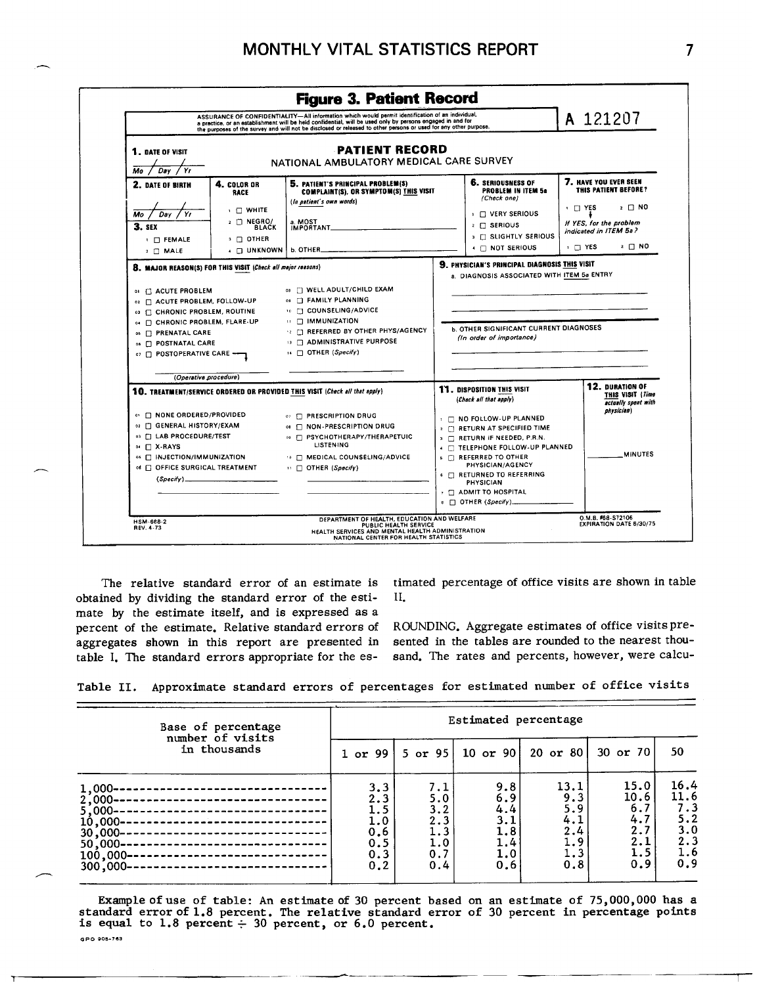

The relative standard error of an estimate is obtained by dividing the standard error of the estimate by the estimate itself, and is expressed as a percent of the estimate. Relative standard errors of aggregates shown in this report are presented in table I. The standard errors appropriate for the estimated percentage of office visits are shown in table  $\Pi$ 

ROUNDING. Aggregate estimates of office visits presented in the tables are rounded to the nearest thousand. The rates and percents, however, were calcu-

Table II. Approximate standard errors of percentages for estimated number of office visits

| in thousands<br>30 or 70<br>$20$ or $80$<br>$10$ or $90$<br>5 or $95$<br>$1$ or $99$<br>15.0<br>13.1<br>9.8<br>3,3<br>7.1<br>10.6<br>9.3<br>6.9<br>5.0<br>2.3<br>$2,000 -$<br>5.9<br>6.7<br>4.4<br>3.2<br>1.5<br>$5,000 -$<br>4.7<br>1.0<br>2.3<br>3.1<br>4.1<br>$10,000 -$ | Base of percentage     | Estimated percentage |     |     |     |     |                                                        |  |
|-----------------------------------------------------------------------------------------------------------------------------------------------------------------------------------------------------------------------------------------------------------------------------|------------------------|----------------------|-----|-----|-----|-----|--------------------------------------------------------|--|
|                                                                                                                                                                                                                                                                             | number of visits       |                      |     |     |     |     | 50                                                     |  |
| 2.1<br>1.9<br>1.4<br>1.0<br>0.5<br>$50,000 -$<br>1.5<br>1.3<br>0.7<br>0.3<br>1.0<br>$100,000 -$<br>-------------------<br>0.9<br>0.8<br>0.6<br>0.2<br>0.4<br>$300,000 -$                                                                                                    | $1,000-$<br>$30,000 -$ | 0.6                  | 1.3 | 1.8 | 2.4 | 2.7 | 16.4<br>11.6<br>7.3<br>5.2<br>3.0<br>2.3<br>1.6<br>0.9 |  |

Example of use of table: An estimate of 30 percent based on an estimate of 75,000,000 has a standard error of 1.8 percent. The relative standard error of 30 percent in percentage points is equal to 1.8 percent  $\div$  30 per

GPO 905-763